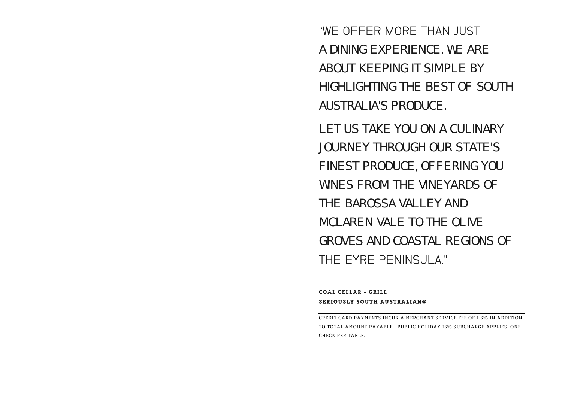"WE OFFFR MORF THAN JUST A DINING EXPERIENCE. WE ARE ABOUT KEEPING IT SIMPLE BY HIGHLIGHTING THE BEST OF SOUTH AUSTRALIA'S PRODUCE.

LET US TAKE YOU ON A CULINARY JOURNEY THROUGH OUR STATE'S FINEST PRODUCE, OFFERING YOU WINES FROM THE VINEYARDS OF THE BAROSSA VALLEY AND MCLAREN VALE TO THE OLIVE GROVES AND COASTAL REGIONS OF THE FYRE PENINSULA."

COAL CELLAR + GRILL SERIOUSLY SOUTH AUSTRALIAN®

CREDIT CARD PAYMENTS INCUR A MERCHANT SERVICE FEE OF 1.5% IN ADDITION TO TOTAL AMOUNT PAYABLE. PUBLIC HOLIDAY 15% SURCHARGE APPLIES. ONE CHECK PER TABLE.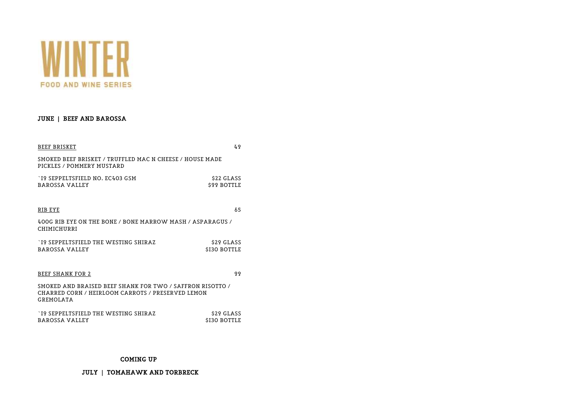

#### JUNE | BEEF AND BAROSSA

| BEEF BRISKET                                                                                                                | 49                              |
|-----------------------------------------------------------------------------------------------------------------------------|---------------------------------|
| SMOKED BEEF BRISKET / TRUFFLED MAC N CHEESE / HOUSE MADE<br>PICKLES / POMMERY MUSTARD                                       |                                 |
| `I9 SEPPELTSFIELD NO. EC403 GSM<br>BAROSSA VALLEY                                                                           | \$22 GLASS<br><b>S99 BOTTLE</b> |
| RIB EYE                                                                                                                     | 65                              |
| 400G RIB EYE ON THE BONE / BONE MARROW MASH / ASPARAGUS /<br>CHIMICHURRI                                                    |                                 |
| TO SEPPELTSFIELD THE WESTING SHIRAZ<br>BAROSSA VALLEY                                                                       | \$29 GLASS<br>SI30 BOTTLE       |
| BEEF SHANK FOR 2                                                                                                            | 99                              |
| SMOKED AND BRAISED BEEF SHANK FOR TWO / SAFFRON RISOTTO /<br>CHARRED CORN / HEIRLOOM CARROTS / PRESERVED LEMON<br>GREMOLATA |                                 |
| TO SEPPELTSFIELD THE WESTING SHIRAZ<br>BAROSSA VALLEY                                                                       | \$29 GLASS<br>\$I30 BOTTLE      |

#### COMING UP…

JULY | TOMAHAWK AND TORBRECK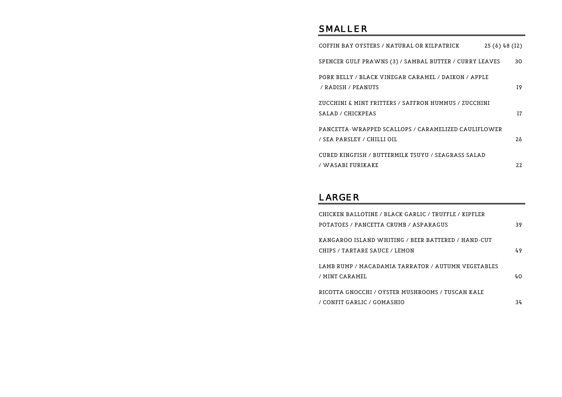# S M A L L E R

| COFFIN BAY OYSTERS / NATURAL OR KILPATRICK                                        | 25 (6) 48 (I2) |    |
|-----------------------------------------------------------------------------------|----------------|----|
| SPENCER GULF PRAWNS (3) / SAMBAL BUTTER / CURRY LEAVES                            |                | 30 |
| PORK BELLY / BLACK VINEGAR CARAMEL / DAIKON / APPLE<br>/ RADISH / PEANUTS         |                | I9 |
| ZUCCHINI & MINT FRITTERS / SAFFRON HUMMUS / ZUCCHINI<br>SALAD / CHICKPEAS         |                | I7 |
| PANCETTA-WRAPPED SCALLOPS / CARAMELIZED CAULIFLOWER<br>/ SEA PARSLEY / CHILLI OIL |                | 26 |
| CURED KINGFISH / BUTTERMILK TSUYU / SEAGRASS SALAD<br>/ WASABI FURIKAKE           |                | 22 |

### **LARGER**

| CHICKEN BALLOTINE / BLACK GARLIC / TRUFFLE / KIPFLER |     |
|------------------------------------------------------|-----|
| POTATOES / PANCETTA CRUMB / ASPARAGUS                | 39  |
| KANGAROO ISLAND WHITING / BEER BATTERED / HAND-CUT   |     |
| CHIPS / TARTARE SAUCE / LEMON                        | 49  |
| LAMB RUMP / MACADAMIA TARRATOR / AUTUMN VEGETABLES   |     |
| / MINT CARAMEL                                       | 4Ο. |
| RICOTTA GNOCCHI / OYSTER MUSHROOMS / TUSCAN KALE     |     |
| / CONFIT GARLIC / GOMASHIO                           | 34  |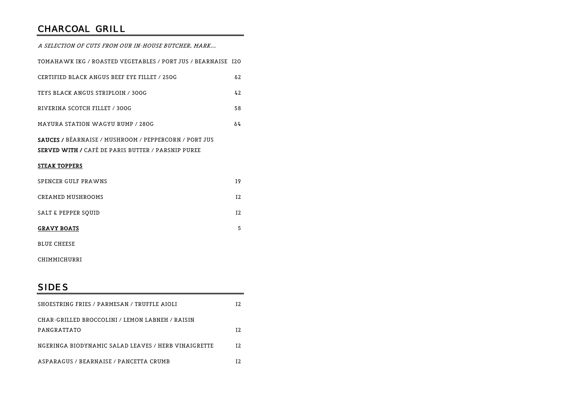# CHARCOAL GRILL

| A SELECTION OF CUTS FROM OUR IN-HOUSE BUTCHER, MARK                                                                       |                |
|---------------------------------------------------------------------------------------------------------------------------|----------------|
| TOMAHAWK IKG / ROASTED VEGETABLES / PORT JUS / BEARNAISE 120                                                              |                |
| CERTIFIED BLACK ANGUS BEEF EYE FILLET / 250G                                                                              | 62             |
| TEYS BLACK ANGUS STRIPLOIN / 300G                                                                                         | 42             |
| RIVERINA SCOTCH FILLET / 300G                                                                                             | 58             |
| MAYURA STATION WAGYU RUMP / 280G                                                                                          | 64             |
| <b>SAUCES / BÉARNAISE / MUSHROOM / PEPPERCORN / PORT JUS</b><br><b>SERVED WITH / CAFÉ DE PARIS BUTTER / PARSNIP PUREE</b> |                |
| <b>STEAK TOPPERS</b>                                                                                                      |                |
| SPENCER GULF PRAWNS                                                                                                       | I9             |
| CREAMED MUSHROOMS                                                                                                         | T <sub>2</sub> |
| <b>SALT &amp; PEPPER SQUID</b>                                                                                            | I <sub>2</sub> |
| <b>GRAVY BOATS</b>                                                                                                        | 5              |
| <b>BLUE CHEESE</b>                                                                                                        |                |

CHIMMICHURRI

### S I D E S

| SHOESTRING FRIES / PARMESAN / TRUFFLE AIOLI         | T 2. |
|-----------------------------------------------------|------|
| CHAR-GRILLED BROCCOLINI / LEMON LABNEH / RAISIN     |      |
| PANGRATTATO                                         | T 2. |
| NGERINGA BIODYNAMIC SALAD LEAVES / HERB VINAIGRETTE | T 2. |
| ASPARAGUS / BEARNAISE / PANCETTA CRUMB              |      |